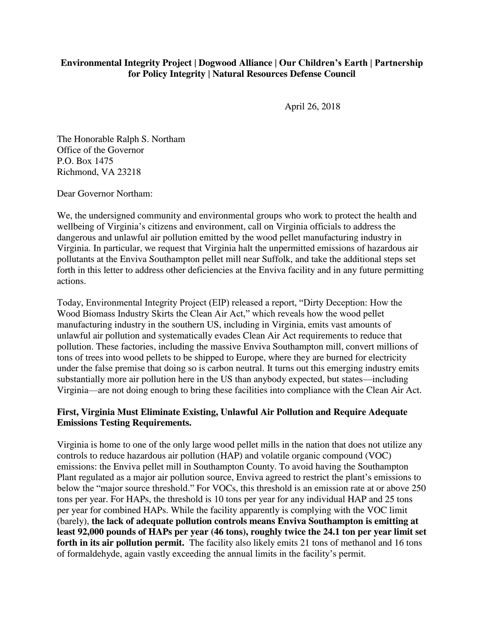## **Environmental Integrity Project | Dogwood Alliance | Our Children's Earth | Partnership for Policy Integrity | Natural Resources Defense Council**

April 26, 2018

The Honorable Ralph S. Northam Office of the Governor P.O. Box 1475 Richmond, VA 23218

Dear Governor Northam:

We, the undersigned community and environmental groups who work to protect the health and wellbeing of Virginia's citizens and environment, call on Virginia officials to address the dangerous and unlawful air pollution emitted by the wood pellet manufacturing industry in Virginia. In particular, we request that Virginia halt the unpermitted emissions of hazardous air pollutants at the Enviva Southampton pellet mill near Suffolk, and take the additional steps set forth in this letter to address other deficiencies at the Enviva facility and in any future permitting actions.

Today, Environmental Integrity Project (EIP) released a report, "Dirty Deception: How the Wood Biomass Industry Skirts the Clean Air Act," which reveals how the wood pellet manufacturing industry in the southern US, including in Virginia, emits vast amounts of unlawful air pollution and systematically evades Clean Air Act requirements to reduce that pollution. These factories, including the massive Enviva Southampton mill, convert millions of tons of trees into wood pellets to be shipped to Europe, where they are burned for electricity under the false premise that doing so is carbon neutral. It turns out this emerging industry emits substantially more air pollution here in the US than anybody expected, but states—including Virginia—are not doing enough to bring these facilities into compliance with the Clean Air Act.

## **First, Virginia Must Eliminate Existing, Unlawful Air Pollution and Require Adequate Emissions Testing Requirements.**

Virginia is home to one of the only large wood pellet mills in the nation that does not utilize any controls to reduce hazardous air pollution (HAP) and volatile organic compound (VOC) emissions: the Enviva pellet mill in Southampton County. To avoid having the Southampton Plant regulated as a major air pollution source, Enviva agreed to restrict the plant's emissions to below the "major source threshold." For VOCs, this threshold is an emission rate at or above 250 tons per year. For HAPs, the threshold is 10 tons per year for any individual HAP and 25 tons per year for combined HAPs. While the facility apparently is complying with the VOC limit (barely), **the lack of adequate pollution controls means Enviva Southampton is emitting at least 92,000 pounds of HAPs per year (46 tons), roughly twice the 24.1 ton per year limit set**  forth in its air pollution permit. The facility also likely emits 21 tons of methanol and 16 tons of formaldehyde, again vastly exceeding the annual limits in the facility's permit.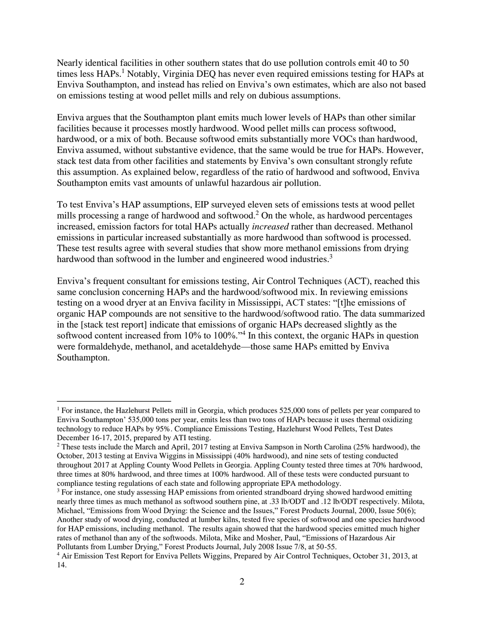Nearly identical facilities in other southern states that do use pollution controls emit 40 to 50 times less HAPs.<sup>1</sup> Notably, Virginia DEQ has never even required emissions testing for HAPs at Enviva Southampton, and instead has relied on Enviva's own estimates, which are also not based on emissions testing at wood pellet mills and rely on dubious assumptions.

Enviva argues that the Southampton plant emits much lower levels of HAPs than other similar facilities because it processes mostly hardwood. Wood pellet mills can process softwood, hardwood, or a mix of both. Because softwood emits substantially more VOCs than hardwood, Enviva assumed, without substantive evidence, that the same would be true for HAPs. However, stack test data from other facilities and statements by Enviva's own consultant strongly refute this assumption. As explained below, regardless of the ratio of hardwood and softwood, Enviva Southampton emits vast amounts of unlawful hazardous air pollution.

To test Enviva's HAP assumptions, EIP surveyed eleven sets of emissions tests at wood pellet mills processing a range of hardwood and softwood.<sup>2</sup> On the whole, as hardwood percentages increased, emission factors for total HAPs actually *increased* rather than decreased. Methanol emissions in particular increased substantially as more hardwood than softwood is processed. These test results agree with several studies that show more methanol emissions from drying hardwood than softwood in the lumber and engineered wood industries.<sup>3</sup>

Enviva's frequent consultant for emissions testing, Air Control Techniques (ACT), reached this same conclusion concerning HAPs and the hardwood/softwood mix. In reviewing emissions testing on a wood dryer at an Enviva facility in Mississippi, ACT states: "[t]he emissions of organic HAP compounds are not sensitive to the hardwood/softwood ratio. The data summarized in the [stack test report] indicate that emissions of organic HAPs decreased slightly as the softwood content increased from 10% to 100%."<sup>4</sup> In this context, the organic HAPs in question were formaldehyde, methanol, and acetaldehyde—those same HAPs emitted by Enviva Southampton.

 $\overline{a}$ 

<sup>1</sup> For instance, the Hazlehurst Pellets mill in Georgia, which produces 525,000 tons of pellets per year compared to Enviva Southampton' 535,000 tons per year, emits less than two tons of HAPs because it uses thermal oxidizing technology to reduce HAPs by 95%. Compliance Emissions Testing, Hazlehurst Wood Pellets, Test Dates December 16-17, 2015, prepared by ATI testing.

<sup>&</sup>lt;sup>2</sup> These tests include the March and April, 2017 testing at Enviva Sampson in North Carolina (25% hardwood), the October, 2013 testing at Enviva Wiggins in Mississippi (40% hardwood), and nine sets of testing conducted throughout 2017 at Appling County Wood Pellets in Georgia. Appling County tested three times at 70% hardwood, three times at 80% hardwood, and three times at 100% hardwood. All of these tests were conducted pursuant to compliance testing regulations of each state and following appropriate EPA methodology.

<sup>&</sup>lt;sup>3</sup> For instance, one study assessing HAP emissions from oriented strandboard drying showed hardwood emitting nearly three times as much methanol as softwood southern pine, at .33 lb/ODT and .12 lb/ODT respectively. Milota, Michael, "Emissions from Wood Drying: the Science and the Issues," Forest Products Journal, 2000, Issue 50(6); Another study of wood drying, conducted at lumber kilns, tested five species of softwood and one species hardwood for HAP emissions, including methanol. The results again showed that the hardwood species emitted much higher rates of methanol than any of the softwoods. Milota, Mike and Mosher, Paul, "Emissions of Hazardous Air Pollutants from Lumber Drying," Forest Products Journal, July 2008 Issue 7/8, at 50-55.

<sup>4</sup> Air Emission Test Report for Enviva Pellets Wiggins, Prepared by Air Control Techniques, October 31, 2013, at 14.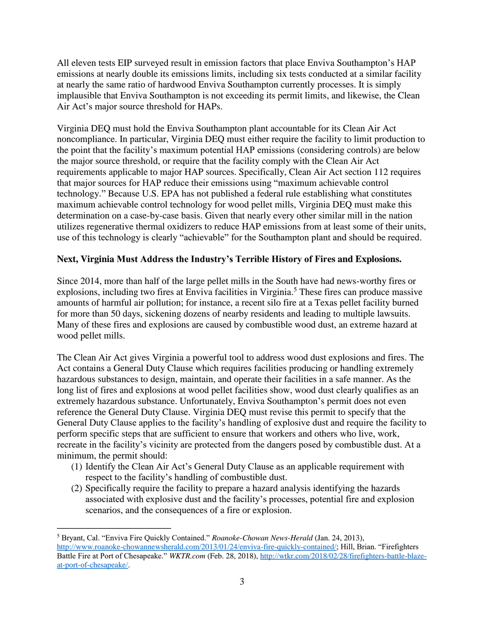All eleven tests EIP surveyed result in emission factors that place Enviva Southampton's HAP emissions at nearly double its emissions limits, including six tests conducted at a similar facility at nearly the same ratio of hardwood Enviva Southampton currently processes. It is simply implausible that Enviva Southampton is not exceeding its permit limits, and likewise, the Clean Air Act's major source threshold for HAPs.

Virginia DEQ must hold the Enviva Southampton plant accountable for its Clean Air Act noncompliance. In particular, Virginia DEQ must either require the facility to limit production to the point that the facility's maximum potential HAP emissions (considering controls) are below the major source threshold, or require that the facility comply with the Clean Air Act requirements applicable to major HAP sources. Specifically, Clean Air Act section 112 requires that major sources for HAP reduce their emissions using "maximum achievable control technology." Because U.S. EPA has not published a federal rule establishing what constitutes maximum achievable control technology for wood pellet mills, Virginia DEQ must make this determination on a case-by-case basis. Given that nearly every other similar mill in the nation utilizes regenerative thermal oxidizers to reduce HAP emissions from at least some of their units, use of this technology is clearly "achievable" for the Southampton plant and should be required.

## **Next, Virginia Must Address the Industry's Terrible History of Fires and Explosions.**

Since 2014, more than half of the large pellet mills in the South have had news-worthy fires or explosions, including two fires at Enviva facilities in Virginia.<sup>5</sup> These fires can produce massive amounts of harmful air pollution; for instance, a recent silo fire at a Texas pellet facility burned for more than 50 days, sickening dozens of nearby residents and leading to multiple lawsuits. Many of these fires and explosions are caused by combustible wood dust, an extreme hazard at wood pellet mills.

The Clean Air Act gives Virginia a powerful tool to address wood dust explosions and fires. The Act contains a General Duty Clause which requires facilities producing or handling extremely hazardous substances to design, maintain, and operate their facilities in a safe manner. As the long list of fires and explosions at wood pellet facilities show, wood dust clearly qualifies as an extremely hazardous substance. Unfortunately, Enviva Southampton's permit does not even reference the General Duty Clause. Virginia DEQ must revise this permit to specify that the General Duty Clause applies to the facility's handling of explosive dust and require the facility to perform specific steps that are sufficient to ensure that workers and others who live, work, recreate in the facility's vicinity are protected from the dangers posed by combustible dust. At a minimum, the permit should:

- (1) Identify the Clean Air Act's General Duty Clause as an applicable requirement with respect to the facility's handling of combustible dust.
- (2) Specifically require the facility to prepare a hazard analysis identifying the hazards associated with explosive dust and the facility's processes, potential fire and explosion scenarios, and the consequences of a fire or explosion.

 $\overline{a}$ 

<sup>5</sup> Bryant, Cal. "Enviva Fire Quickly Contained." *Roanoke-Chowan News-Herald* (Jan. 24, 2013), [http://www.roanoke-chowannewsherald.com/2013/01/24/enviva-fire-quickly-contained/;](http://www.roanoke-chowannewsherald.com/2013/01/24/enviva-fire-quickly-contained/) Hill, Brian. "Firefighters Battle Fire at Port of Chesapeake." *WKTR.com* (Feb. 28, 2018), [http://wtkr.com/2018/02/28/firefighters-battle-blaze](http://wtkr.com/2018/02/28/firefighters-battle-blaze-at-port-of-chesapeake/)[at-port-of-chesapeake/.](http://wtkr.com/2018/02/28/firefighters-battle-blaze-at-port-of-chesapeake/)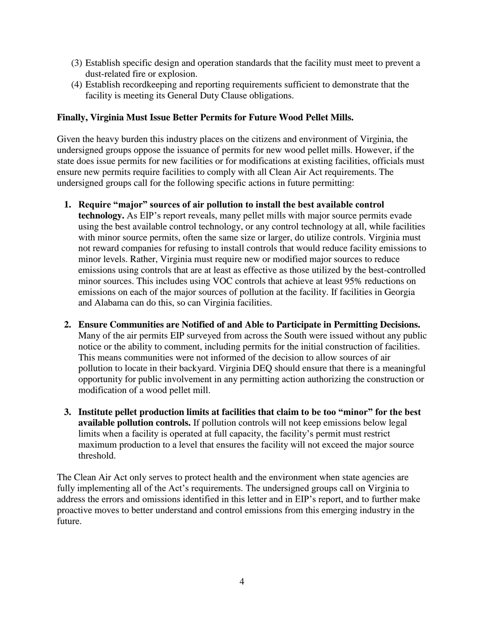- (3) Establish specific design and operation standards that the facility must meet to prevent a dust-related fire or explosion.
- (4) Establish recordkeeping and reporting requirements sufficient to demonstrate that the facility is meeting its General Duty Clause obligations.

## **Finally, Virginia Must Issue Better Permits for Future Wood Pellet Mills.**

Given the heavy burden this industry places on the citizens and environment of Virginia, the undersigned groups oppose the issuance of permits for new wood pellet mills. However, if the state does issue permits for new facilities or for modifications at existing facilities, officials must ensure new permits require facilities to comply with all Clean Air Act requirements. The undersigned groups call for the following specific actions in future permitting:

- **1. Require "major" sources of air pollution to install the best available control** 
	- **technology.** As EIP's report reveals, many pellet mills with major source permits evade using the best available control technology, or any control technology at all, while facilities with minor source permits, often the same size or larger, do utilize controls. Virginia must not reward companies for refusing to install controls that would reduce facility emissions to minor levels. Rather, Virginia must require new or modified major sources to reduce emissions using controls that are at least as effective as those utilized by the best-controlled minor sources. This includes using VOC controls that achieve at least 95% reductions on emissions on each of the major sources of pollution at the facility. If facilities in Georgia and Alabama can do this, so can Virginia facilities.
- **2. Ensure Communities are Notified of and Able to Participate in Permitting Decisions.**  Many of the air permits EIP surveyed from across the South were issued without any public notice or the ability to comment, including permits for the initial construction of facilities. This means communities were not informed of the decision to allow sources of air pollution to locate in their backyard. Virginia DEQ should ensure that there is a meaningful opportunity for public involvement in any permitting action authorizing the construction or modification of a wood pellet mill.
- **3. Institute pellet production limits at facilities that claim to be too "minor" for the best available pollution controls.** If pollution controls will not keep emissions below legal limits when a facility is operated at full capacity, the facility's permit must restrict maximum production to a level that ensures the facility will not exceed the major source threshold.

The Clean Air Act only serves to protect health and the environment when state agencies are fully implementing all of the Act's requirements. The undersigned groups call on Virginia to address the errors and omissions identified in this letter and in EIP's report, and to further make proactive moves to better understand and control emissions from this emerging industry in the future.